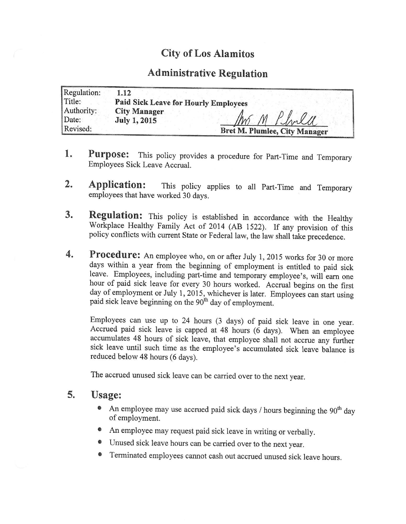## City of Los Alamitos

## Administrative Regulation

| Regulation: | 1.12                                 |
|-------------|--------------------------------------|
| Title:      | Paid Sick Leave for Hourly Employees |
| Authority:  | <b>City Manager</b>                  |
| Date:       | In M Phila<br><b>July 1, 2015</b>    |
| Revised:    | Bret M. Plumlee, City Manager        |

- 1. Purpose: This policy provides a procedure for Part-Time and Temporary Employees Sick Leave Accrual.
- 2. Application: This policy applies to all Part-Time and Temporary employees that have worked 30 days.
- 3. Regulation: This policy is established in accordance with the Healthy Workplace Healthy Family Act of 2014 (AB 1522). If any provision of this policy conflicts with current State or Federal law, the law shall take precedence.
- 4. Procedure: An employee who, on or after July 1, 2015 works for 30 or more days within <sup>a</sup> year from the beginning of employment is entitled to paid sick leave. Employees, including part-time and temporary employee's, will earn one hour of paid sick leave for every 30 hours worked. Accrual begins on the first day of employment or July 1, 2015, whichever is later. Employees can start using paid sick leave beginning on the 90<sup>th</sup> day of employment.

Employees can use up to 24 hours (3 days) of paid sick leave in one year. Accrued paid sick leave is capped at 48 hours  $(6 \text{ days})$ . When an employee accumulates 48 hours of sick leave, that employee shall not accrue any further sick leave until such time as the employee's accumulated sick leave balance is reduced below 48 hours (6 days).

The accrued unused sick leave can be carried over to the next year.

## 5. Usage:

- An employee may use accrued paid sick days  $/$  hours beginning the 90<sup>th</sup> day of employment.
- An employee may request paid sick leave in writing or verbally.
- Unused sick leave hours can be carried over to the next year.
- Terminated employees cannot cash out accrued unused sick leave hours.